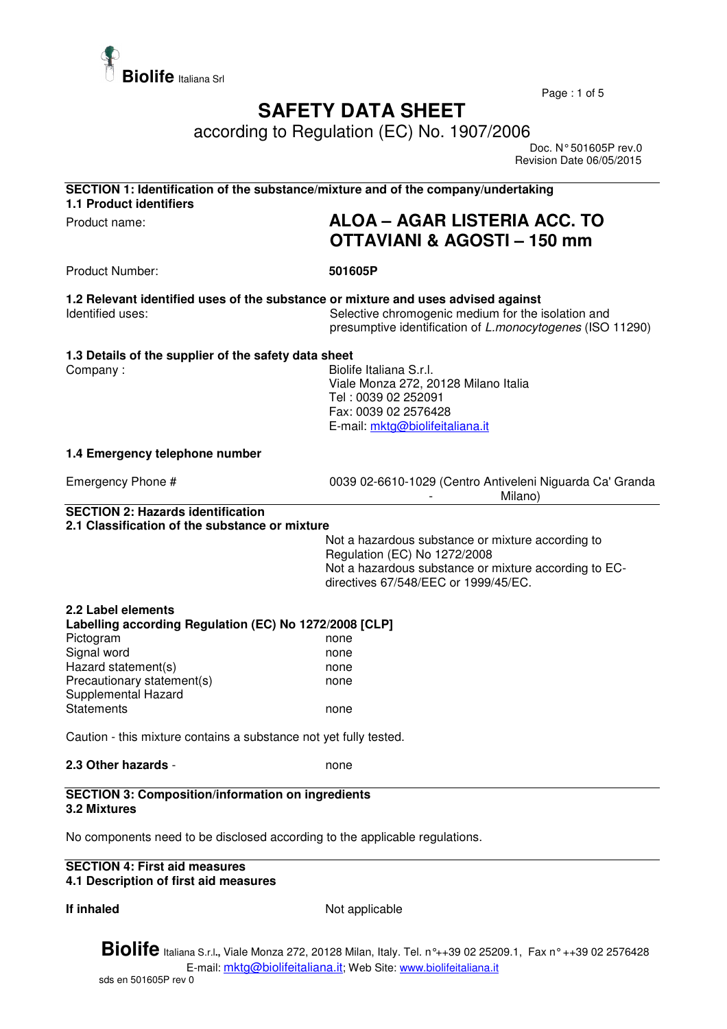

Page : 1 of 5

## **SAFETY DATA SHEET**

according to Regulation (EC) No. 1907/2006

 Doc. N° 501605P rev.0 Revision Date 06/05/2015

| <b>1.1 Product identifiers</b>                                                             |                                                                                                                                                                                                      |  |
|--------------------------------------------------------------------------------------------|------------------------------------------------------------------------------------------------------------------------------------------------------------------------------------------------------|--|
| Product name:                                                                              | ALOA - AGAR LISTERIA ACC. TO<br><b>OTTAVIANI &amp; AGOSTI - 150 mm</b>                                                                                                                               |  |
| Product Number:                                                                            | 501605P                                                                                                                                                                                              |  |
| Identified uses:                                                                           | 1.2 Relevant identified uses of the substance or mixture and uses advised against<br>Selective chromogenic medium for the isolation and<br>presumptive identification of L.monocytogenes (ISO 11290) |  |
| 1.3 Details of the supplier of the safety data sheet<br>Company:                           | Biolife Italiana S.r.l.<br>Viale Monza 272, 20128 Milano Italia<br>Tel: 0039 02 252091<br>Fax: 0039 02 2576428<br>E-mail: mktg@biolifeitaliana.it                                                    |  |
| 1.4 Emergency telephone number                                                             |                                                                                                                                                                                                      |  |
| Emergency Phone #                                                                          | 0039 02-6610-1029 (Centro Antiveleni Niguarda Ca' Granda<br>Milano)                                                                                                                                  |  |
| <b>SECTION 2: Hazards identification</b><br>2.1 Classification of the substance or mixture |                                                                                                                                                                                                      |  |
|                                                                                            | Not a hazardous substance or mixture according to                                                                                                                                                    |  |
|                                                                                            | Regulation (EC) No 1272/2008<br>Not a hazardous substance or mixture according to EC-<br>directives 67/548/EEC or 1999/45/EC.                                                                        |  |
| 2.2 Label elements                                                                         |                                                                                                                                                                                                      |  |
| Labelling according Regulation (EC) No 1272/2008 [CLP]<br>Pictogram                        | none                                                                                                                                                                                                 |  |
| Signal word                                                                                | none                                                                                                                                                                                                 |  |
| Hazard statement(s)                                                                        | none                                                                                                                                                                                                 |  |
| Precautionary statement(s)<br>Supplemental Hazard                                          | none                                                                                                                                                                                                 |  |
| <b>Statements</b>                                                                          | none                                                                                                                                                                                                 |  |
| Caution - this mixture contains a substance not yet fully tested.                          |                                                                                                                                                                                                      |  |
| 2.3 Other hazards -                                                                        | none                                                                                                                                                                                                 |  |
| <b>SECTION 3: Composition/information on ingredients</b><br>3.2 Mixtures                   |                                                                                                                                                                                                      |  |
| No components need to be disclosed according to the applicable regulations.                |                                                                                                                                                                                                      |  |
| <b>SECTION 4: First aid measures</b><br>4.1 Description of first aid measures              |                                                                                                                                                                                                      |  |

**If inhaled** Not applicable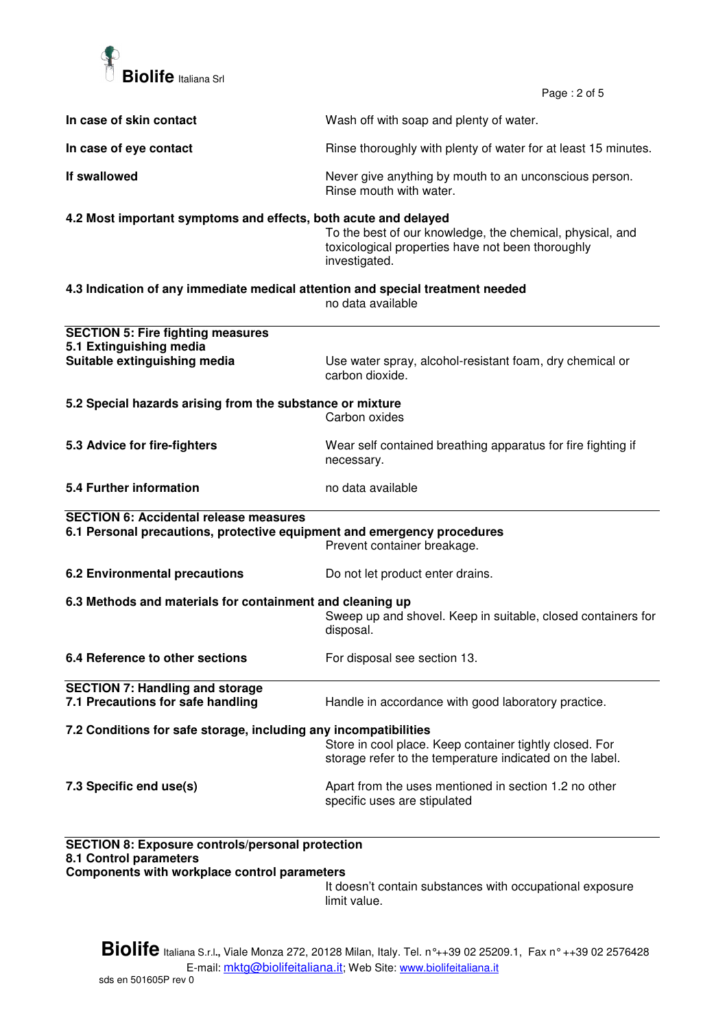

 $P$ age : 2 of 5

|                                                                                                                                          | Page: 2 or 5                                                                                                                    |  |
|------------------------------------------------------------------------------------------------------------------------------------------|---------------------------------------------------------------------------------------------------------------------------------|--|
| In case of skin contact                                                                                                                  | Wash off with soap and plenty of water.                                                                                         |  |
| In case of eye contact                                                                                                                   | Rinse thoroughly with plenty of water for at least 15 minutes.                                                                  |  |
| If swallowed                                                                                                                             | Never give anything by mouth to an unconscious person.<br>Rinse mouth with water.                                               |  |
| 4.2 Most important symptoms and effects, both acute and delayed                                                                          | To the best of our knowledge, the chemical, physical, and<br>toxicological properties have not been thoroughly<br>investigated. |  |
| 4.3 Indication of any immediate medical attention and special treatment needed                                                           | no data available                                                                                                               |  |
| <b>SECTION 5: Fire fighting measures</b><br>5.1 Extinguishing media<br>Suitable extinguishing media                                      | Use water spray, alcohol-resistant foam, dry chemical or<br>carbon dioxide.                                                     |  |
| 5.2 Special hazards arising from the substance or mixture                                                                                | Carbon oxides                                                                                                                   |  |
| 5.3 Advice for fire-fighters                                                                                                             | Wear self contained breathing apparatus for fire fighting if<br>necessary.                                                      |  |
| 5.4 Further information                                                                                                                  | no data available                                                                                                               |  |
| <b>SECTION 6: Accidental release measures</b><br>6.1 Personal precautions, protective equipment and emergency procedures                 | Prevent container breakage.                                                                                                     |  |
| 6.2 Environmental precautions                                                                                                            | Do not let product enter drains.                                                                                                |  |
| 6.3 Methods and materials for containment and cleaning up                                                                                | Sweep up and shovel. Keep in suitable, closed containers for<br>disposal.                                                       |  |
| 6.4 Reference to other sections                                                                                                          | For disposal see section 13.                                                                                                    |  |
| <b>SECTION 7: Handling and storage</b><br>7.1 Precautions for safe handling                                                              | Handle in accordance with good laboratory practice.                                                                             |  |
| 7.2 Conditions for safe storage, including any incompatibilities                                                                         | Store in cool place. Keep container tightly closed. For<br>storage refer to the temperature indicated on the label.             |  |
| 7.3 Specific end use(s)                                                                                                                  | Apart from the uses mentioned in section 1.2 no other<br>specific uses are stipulated                                           |  |
| <b>SECTION 8: Exposure controls/personal protection</b><br>8.1 Control parameters<br><b>Components with workplace control parameters</b> |                                                                                                                                 |  |

It doesn't contain substances with occupational exposure limit value.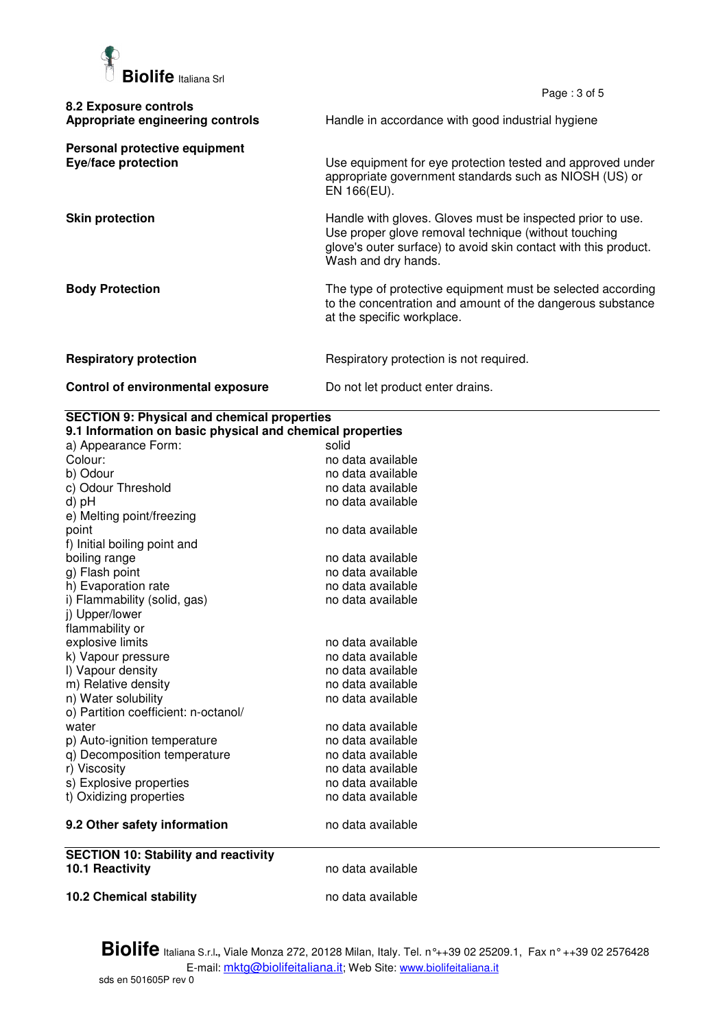

|                                                             | Page: $3$ of $5$                                                                                                                                                                                             |
|-------------------------------------------------------------|--------------------------------------------------------------------------------------------------------------------------------------------------------------------------------------------------------------|
| 8.2 Exposure controls<br>Appropriate engineering controls   | Handle in accordance with good industrial hygiene                                                                                                                                                            |
| Personal protective equipment<br><b>Eye/face protection</b> | Use equipment for eye protection tested and approved under<br>appropriate government standards such as NIOSH (US) or<br>EN 166(EU).                                                                          |
| <b>Skin protection</b>                                      | Handle with gloves. Gloves must be inspected prior to use.<br>Use proper glove removal technique (without touching<br>glove's outer surface) to avoid skin contact with this product.<br>Wash and dry hands. |
| <b>Body Protection</b>                                      | The type of protective equipment must be selected according<br>to the concentration and amount of the dangerous substance<br>at the specific workplace.                                                      |
| <b>Respiratory protection</b>                               | Respiratory protection is not required.                                                                                                                                                                      |
| Control of environmental exposure                           | Do not let product enter drains.                                                                                                                                                                             |

## **SECTION 9: Physical and chemical properties**

| 9.1 Information on basic physical and chemical properties |                   |  |
|-----------------------------------------------------------|-------------------|--|
| a) Appearance Form:                                       | solid             |  |
| Colour:                                                   | no data available |  |
| b) Odour                                                  | no data available |  |
| c) Odour Threshold                                        | no data available |  |
| d) pH                                                     | no data available |  |
| e) Melting point/freezing                                 |                   |  |
| point                                                     | no data available |  |
| f) Initial boiling point and                              |                   |  |
| boiling range                                             | no data available |  |
| g) Flash point                                            | no data available |  |
| h) Evaporation rate                                       | no data available |  |
| i) Flammability (solid, gas)                              | no data available |  |
| i) Upper/lower                                            |                   |  |
| flammability or                                           |                   |  |
| explosive limits                                          | no data available |  |
| k) Vapour pressure                                        | no data available |  |
| I) Vapour density                                         | no data available |  |
| m) Relative density                                       | no data available |  |
| n) Water solubility                                       | no data available |  |
| o) Partition coefficient: n-octanol/                      |                   |  |
| water                                                     | no data available |  |
| p) Auto-ignition temperature                              | no data available |  |
| q) Decomposition temperature                              | no data available |  |
| r) Viscosity                                              | no data available |  |
| s) Explosive properties                                   | no data available |  |
| t) Oxidizing properties                                   | no data available |  |
| 9.2 Other safety information                              | no data available |  |
| <b>SECTION 10: Stability and reactivity</b>               |                   |  |
| <b>10.1 Reactivity</b>                                    | no data available |  |
| <b>10.2 Chemical stability</b>                            | no data available |  |

**Biolife** Italiana S.r.l**.,** Viale Monza 272, 20128 Milan, Italy. Tel. n°++39 02 25209.1, Fax n° ++39 02 2576428 E-mail: mktg@biolifeitaliana.it; Web Site: www.biolifeitaliana.it sds en 501605P rev 0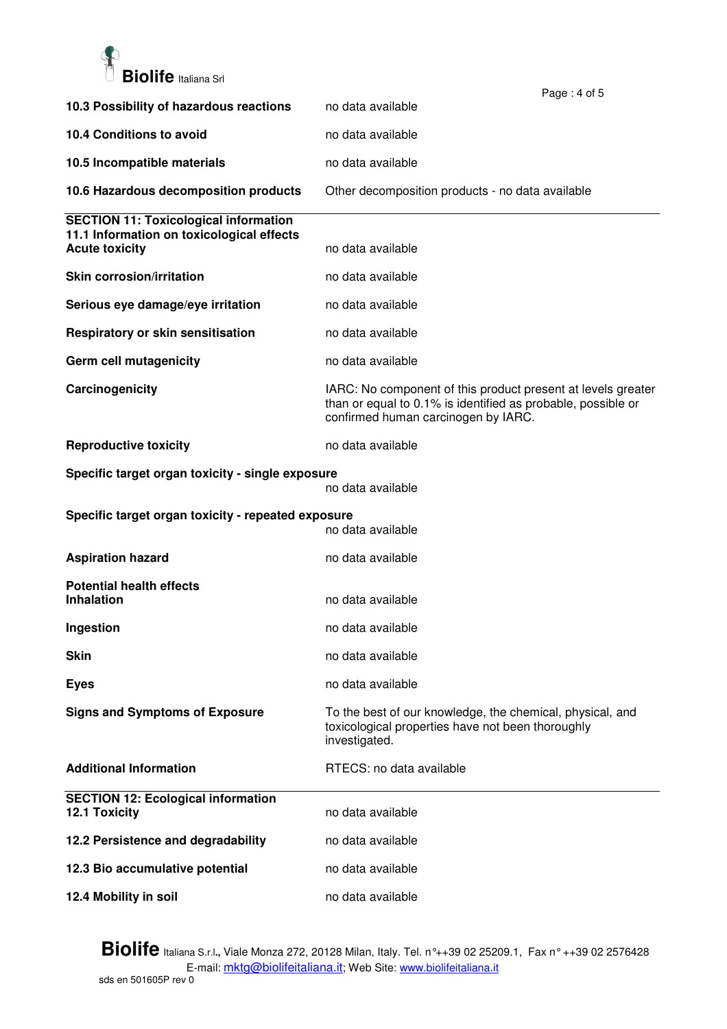

|                                                                                           | Page: 4 of 5                                                                                                                                                        |
|-------------------------------------------------------------------------------------------|---------------------------------------------------------------------------------------------------------------------------------------------------------------------|
| 10.3 Possibility of hazardous reactions                                                   | no data available                                                                                                                                                   |
| 10.4 Conditions to avoid                                                                  | no data available                                                                                                                                                   |
| 10.5 Incompatible materials                                                               | no data available                                                                                                                                                   |
| 10.6 Hazardous decomposition products                                                     | Other decomposition products - no data available                                                                                                                    |
| <b>SECTION 11: Toxicological information</b><br>11.1 Information on toxicological effects |                                                                                                                                                                     |
| <b>Acute toxicity</b>                                                                     | no data available                                                                                                                                                   |
| <b>Skin corrosion/irritation</b>                                                          | no data available                                                                                                                                                   |
| Serious eye damage/eye irritation                                                         | no data available                                                                                                                                                   |
| Respiratory or skin sensitisation                                                         | no data available                                                                                                                                                   |
| Germ cell mutagenicity                                                                    | no data available                                                                                                                                                   |
| Carcinogenicity                                                                           | IARC: No component of this product present at levels greater<br>than or equal to 0.1% is identified as probable, possible or<br>confirmed human carcinogen by IARC. |
| <b>Reproductive toxicity</b>                                                              | no data available                                                                                                                                                   |
| Specific target organ toxicity - single exposure                                          | no data available                                                                                                                                                   |
| Specific target organ toxicity - repeated exposure<br>no data available                   |                                                                                                                                                                     |
| <b>Aspiration hazard</b>                                                                  | no data available                                                                                                                                                   |
| <b>Potential health effects</b><br><b>Inhalation</b>                                      | no data available                                                                                                                                                   |
| Ingestion                                                                                 | no data available                                                                                                                                                   |
| <b>Skin</b>                                                                               | no data available                                                                                                                                                   |
| <b>Eyes</b>                                                                               | no data available                                                                                                                                                   |
| <b>Signs and Symptoms of Exposure</b>                                                     | To the best of our knowledge, the chemical, physical, and<br>toxicological properties have not been thoroughly<br>investigated.                                     |
| <b>Additional Information</b>                                                             | RTECS: no data available                                                                                                                                            |
| <b>SECTION 12: Ecological information</b><br><b>12.1 Toxicity</b>                         | no data available                                                                                                                                                   |
| 12.2 Persistence and degradability                                                        | no data available                                                                                                                                                   |
| 12.3 Bio accumulative potential                                                           | no data available                                                                                                                                                   |
|                                                                                           |                                                                                                                                                                     |